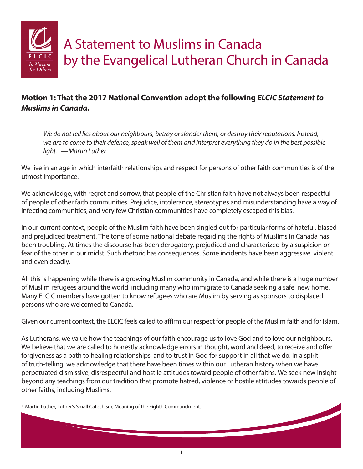

## **Motion 1: That the 2017 National Convention adopt the following** *ELCIC Statement to Muslims in Canada***.**

*We do not tell lies about our neighbours, betray or slander them, or destroy their reputations. Instead, we are to come to their defence, speak well of them and interpret everything they do in the best possible light.1 —Martin Luther*

We live in an age in which interfaith relationships and respect for persons of other faith communities is of the utmost importance.

We acknowledge, with regret and sorrow, that people of the Christian faith have not always been respectful of people of other faith communities. Prejudice, intolerance, stereotypes and misunderstanding have a way of infecting communities, and very few Christian communities have completely escaped this bias.

In our current context, people of the Muslim faith have been singled out for particular forms of hateful, biased and prejudiced treatment. The tone of some national debate regarding the rights of Muslims in Canada has been troubling. At times the discourse has been derogatory, prejudiced and characterized by a suspicion or fear of the other in our midst. Such rhetoric has consequences. Some incidents have been aggressive, violent and even deadly.

All this is happening while there is a growing Muslim community in Canada, and while there is a huge number of Muslim refugees around the world, including many who immigrate to Canada seeking a safe, new home. Many ELCIC members have gotten to know refugees who are Muslim by serving as sponsors to displaced persons who are welcomed to Canada.

Given our current context, the ELCIC feels called to affirm our respect for people of the Muslim faith and for Islam.

As Lutherans, we value how the teachings of our faith encourage us to love God and to love our neighbours. We believe that we are called to honestly acknowledge errors in thought, word and deed, to receive and offer forgiveness as a path to healing relationships, and to trust in God for support in all that we do. In a spirit of truth-telling, we acknowledge that there have been times within our Lutheran history when we have perpetuated dismissive, disrespectful and hostile attitudes toward people of other faiths. We seek new insight beyond any teachings from our tradition that promote hatred, violence or hostile attitudes towards people of other faiths, including Muslims.

<sup>1</sup> Martin Luther, Luther's Small Catechism, Meaning of the Eighth Commandment.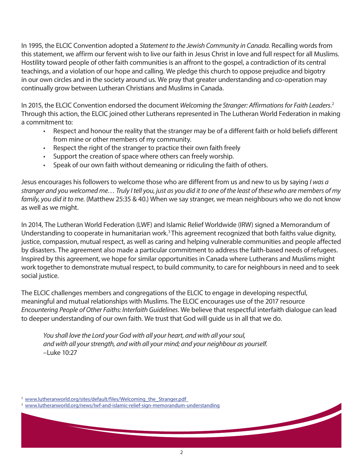In 1995, the ELCIC Convention adopted a *Statement to the Jewish Community in Canada*. Recalling words from this statement, we affirm our fervent wish to live our faith in Jesus Christ in love and full respect for all Muslims. Hostility toward people of other faith communities is an affront to the gospel, a contradiction of its central teachings, and a violation of our hope and calling. We pledge this church to oppose prejudice and bigotry in our own circles and in the society around us. We pray that greater understanding and co-operation may continually grow between Lutheran Christians and Muslims in Canada.

In 2015, the ELCIC Convention endorsed the document *Welcoming the Stranger: Affirmations for Faith Leaders*. 2 Through this action, the ELCIC joined other Lutherans represented in The Lutheran World Federation in making a commitment to:

- Respect and honour the reality that the stranger may be of a different faith or hold beliefs different from mine or other members of my community.
- Respect the right of the stranger to practice their own faith freely
- Support the creation of space where others can freely worship.
- Speak of our own faith without demeaning or ridiculing the faith of others.

Jesus encourages his followers to welcome those who are different from us and new to us by saying *I was a stranger and you welcomed me… Truly I tell you, just as you did it to one of the least of these who are members of my family, you did it to me.* (Matthew 25:35 & 40.) When we say stranger, we mean neighbours who we do not know as well as we might.

In 2014, The Lutheran World Federation (LWF) and Islamic Relief Worldwide (IRW) signed a Memorandum of Understanding to cooperate in humanitarian work.<sup>3</sup> This agreement recognized that both faiths value dignity, justice, compassion, mutual respect, as well as caring and helping vulnerable communities and people affected by disasters. The agreement also made a particular commitment to address the faith-based needs of refugees. Inspired by this agreement, we hope for similar opportunities in Canada where Lutherans and Muslims might work together to demonstrate mutual respect, to build community, to care for neighbours in need and to seek social justice.

The ELCIC challenges members and congregations of the ELCIC to engage in developing respectful, meaningful and mutual relationships with Muslims. The ELCIC encourages use of the 2017 resource *Encountering People of Other Faiths: Interfaith Guidelines*. We believe that respectful interfaith dialogue can lead to deeper understanding of our own faith. We trust that God will guide us in all that we do.

*You shall love the Lord your God with all your heart, and with all your soul, and with all your strength, and with all your mind; and your neighbour as yourself.* –Luke 10:27

<sup>2</sup> www.lutheranworld.org/sites/default/files/Welcoming\_the\_Stranger.pdf

3 <www.lutheranworld.org/news/lwf-and-islamic-relief-sign-memorandum-understanding>